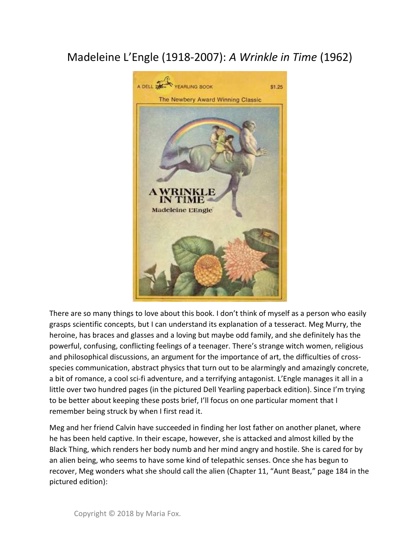## Madeleine L'Engle (1918-2007): A Wrinkle in Time (1962)



There are so many things to love about this book. I don't think of myself as a person who easily grasps scientific concepts, but I can understand its explanation of a tesseract. Meg Murry, the heroine, has braces and glasses and a loving but maybe odd family, and she definitely has the powerful, confusing, conflicting feelings of a teenager. There's strange witch women, religious and philosophical discussions, an argument for the importance of art, the difficulties of crossspecies communication, abstract physics that turn out to be alarmingly and amazingly concrete, a bit of romance, a cool sci-fi adventure, and a terrifying antagonist. L'Engle manages it all in a little over two hundred pages (in the pictured Dell Yearling paperback edition). Since I'm trying to be better about keeping these posts brief, I'll focus on one particular moment that I remember being struck by when I first read it.

Meg and her friend Calvin have succeeded in finding her lost father on another planet, where he has been held captive. In their escape, however, she is attacked and almost killed by the Black Thing, which renders her body numb and her mind angry and hostile. She is cared for by an alien being, who seems to have some kind of telepathic senses. Once she has begun to recover, Meg wonders what she should call the alien (Chapter 11, "Aunt Beast," page 184 in the pictured edition):